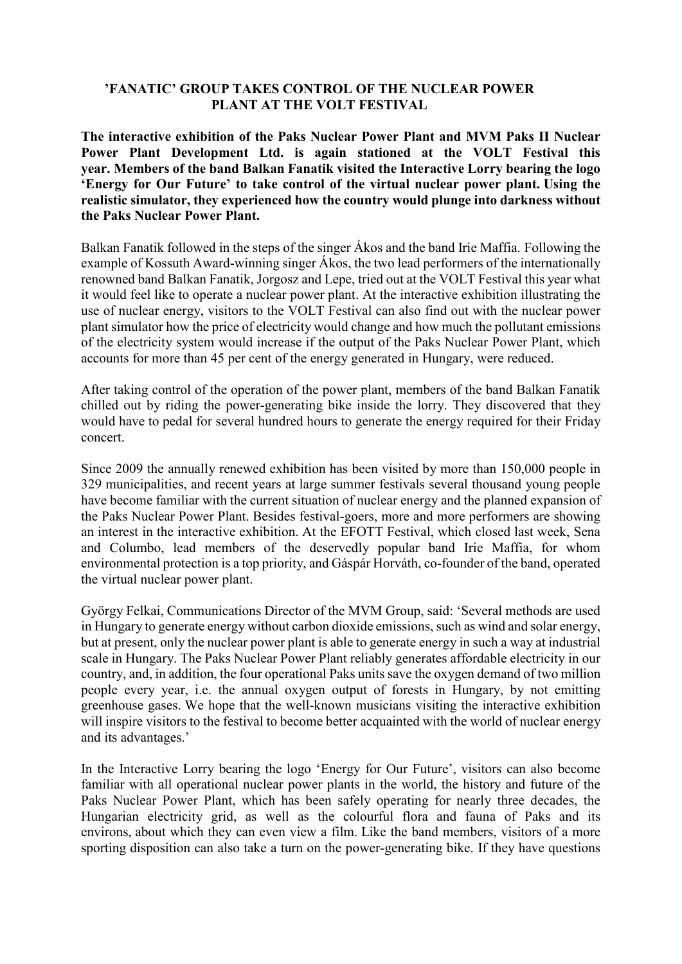## **'FANATIC' GROUP TAKES CONTROL OF THE NUCLEAR POWER PLANT AT THE VOLT FESTIVAL**

**The interactive exhibition of the Paks Nuclear Power Plant and MVM Paks II Nuclear Power Plant Development Ltd. is again stationed at the VOLT Festival this year. Members of the band Balkan Fanatik visited the Interactive Lorry bearing the logo 'Energy for Our Future' to take control of the virtual nuclear power plant. Using the realistic simulator, they experienced how the country would plunge into darkness without the Paks Nuclear Power Plant.**

Balkan Fanatik followed in the steps of the singer Ákos and the band Irie Maffia. Following the example of Kossuth Award-winning singer Ákos, the two lead performers of the internationally renowned band Balkan Fanatik, Jorgosz and Lepe, tried out at the VOLT Festival this year what it would feel like to operate a nuclear power plant. At the interactive exhibition illustrating the use of nuclear energy, visitors to the VOLT Festival can also find out with the nuclear power plant simulator how the price of electricity would change and how much the pollutant emissions of the electricity system would increase if the output of the Paks Nuclear Power Plant, which accounts for more than 45 per cent of the energy generated in Hungary, were reduced.

After taking control of the operation of the power plant, members of the band Balkan Fanatik chilled out by riding the power-generating bike inside the lorry. They discovered that they would have to pedal for several hundred hours to generate the energy required for their Friday concert.

Since 2009 the annually renewed exhibition has been visited by more than 150,000 people in 329 municipalities, and recent years at large summer festivals several thousand young people have become familiar with the current situation of nuclear energy and the planned expansion of the Paks Nuclear Power Plant. Besides festival-goers, more and more performers are showing an interest in the interactive exhibition. At the EFOTT Festival, which closed last week, Sena and Columbo, lead members of the deservedly popular band Irie Maffia, for whom environmental protection is a top priority, and Gáspár Horváth, co-founder of the band, operated the virtual nuclear power plant.

György Felkai, Communications Director of the MVM Group, said: 'Several methods are used in Hungary to generate energy without carbon dioxide emissions, such as wind and solar energy, but at present, only the nuclear power plant is able to generate energy in such a way at industrial scale in Hungary. The Paks Nuclear Power Plant reliably generates affordable electricity in our country, and, in addition, the four operational Paks units save the oxygen demand of two million people every year, i.e. the annual oxygen output of forests in Hungary, by not emitting greenhouse gases. We hope that the well-known musicians visiting the interactive exhibition will inspire visitors to the festival to become better acquainted with the world of nuclear energy and its advantages.'

In the Interactive Lorry bearing the logo 'Energy for Our Future', visitors can also become familiar with all operational nuclear power plants in the world, the history and future of the Paks Nuclear Power Plant, which has been safely operating for nearly three decades, the Hungarian electricity grid, as well as the colourful flora and fauna of Paks and its environs, about which they can even view a film. Like the band members, visitors of a more sporting disposition can also take a turn on the power-generating bike. If they have questions